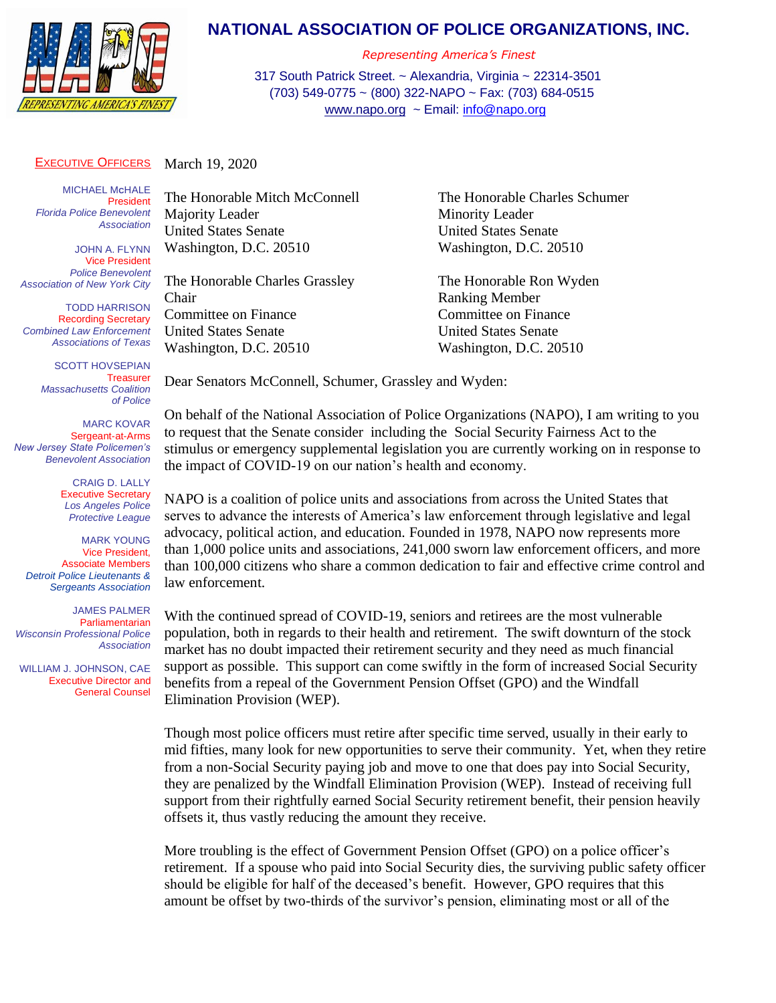

## **NATIONAL ASSOCIATION OF POLICE ORGANIZATIONS, INC.**

*Representing America's Finest*

317 South Patrick Street. ~ Alexandria, Virginia ~ 22314-3501 (703) 549-0775 ~ (800) 322-NAPO ~ Fax: (703) 684-0515 [www.napo.org](http://www.napo.org/) ~ Email: [info@napo.org](mailto:info@napo.org)

## EXECUTIVE OFFICERS March 19, 2020

MICHAEL M**C**HALE President *Florida Police Benevolent Association*

JOHN A. FLYNN Vice President *Police Benevolent Association of New York City*

TODD HARRISON Recording Secretary *Combined Law Enforcement Associations of Texas*

> SCOTT HOVSEPIAN **Treasurer** *Massachusetts Coalition of Police*

MARC KOVAR Sergeant-at-Arms *New Jersey State Policemen's Benevolent Association*

> CRAIG D. LALLY Executive Secretary *Los Angeles Police Protective League*

MARK YOUNG Vice President, Associate Members *Detroit Police Lieutenants & Sergeants Association*

JAMES PALMER **Parliamentarian** *Wisconsin Professional Police Association*

 WILLIAM J. JOHNSON, CAE Executive Director and General Counsel Majority Leader Minority Leader United States Senate United States Senate

The Honorable Charles Grassley The Honorable Ron Wyden Chair Ranking Member Committee on Finance Committee on Finance United States Senate United States Senate

Dear Senators McConnell, Schumer, Grassley and Wyden:

The Honorable Mitch McConnell The Honorable Charles Schumer Washington, D.C. 20510 Washington, D.C. 20510

Washington, D.C. 20510 Washington, D.C. 20510

On behalf of the National Association of Police Organizations (NAPO), I am writing to you to request that the Senate consider including the Social Security Fairness Act to the stimulus or emergency supplemental legislation you are currently working on in response to the impact of COVID-19 on our nation's health and economy.

NAPO is a coalition of police units and associations from across the United States that serves to advance the interests of America's law enforcement through legislative and legal advocacy, political action, and education. Founded in 1978, NAPO now represents more than 1,000 police units and associations, 241,000 sworn law enforcement officers, and more than 100,000 citizens who share a common dedication to fair and effective crime control and law enforcement.

With the continued spread of COVID-19, seniors and retirees are the most vulnerable population, both in regards to their health and retirement. The swift downturn of the stock market has no doubt impacted their retirement security and they need as much financial support as possible. This support can come swiftly in the form of increased Social Security benefits from a repeal of the Government Pension Offset (GPO) and the Windfall Elimination Provision (WEP).

Though most police officers must retire after specific time served, usually in their early to mid fifties, many look for new opportunities to serve their community. Yet, when they retire from a non-Social Security paying job and move to one that does pay into Social Security, they are penalized by the Windfall Elimination Provision (WEP). Instead of receiving full support from their rightfully earned Social Security retirement benefit, their pension heavily offsets it, thus vastly reducing the amount they receive.

More troubling is the effect of Government Pension Offset (GPO) on a police officer's retirement. If a spouse who paid into Social Security dies, the surviving public safety officer should be eligible for half of the deceased's benefit. However, GPO requires that this amount be offset by two-thirds of the survivor's pension, eliminating most or all of the